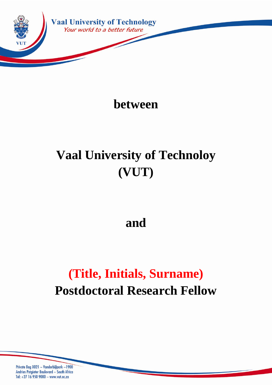

**between**

# **Vaal University of Technoloy (VUT)**

**and**

## **(Title, Initials, Surname) Postdoctoral Research Fellow**

Private Bag X021 ~ Vanderbijlpark ~1900 Andries Potgieter Boulevard ~ South Africa Tel: +27 16 950 9000 ~ www.vut.ac.za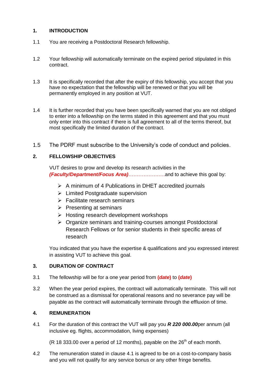## **1. INTRODUCTION**

- 1.1 You are receiving a Postdoctoral Research fellowship.
- 1.2 Your fellowship will automatically terminate on the expired period stipulated in this contract.
- 1.3 It is specifically recorded that after the expiry of this fellowship, you accept that you have no expectation that the fellowship will be renewed or that you will be permanently employed in any position at VUT.
- 1.4 It is further recorded that you have been specifically warned that you are not obliged to enter into a fellowship on the terms stated in this agreement and that you must only enter into this contract if there is full agreement to all of the terms thereof, but most specifically the limited duration of the contract.
- 1.5 The PDRF must subscribe to the University's code of conduct and policies.

## **2. FELLOWSHIP OBJECTIVES**

VUT desires to grow and develop its research activities in the *(Faculty/Department/Focus Area)*………………….and to achieve this goal by:

- $\triangleright$  A minimum of 4 Publications in DHET accredited journals
- $\triangleright$  Limited Postgraduate supervision
- $\triangleright$  Facilitate research seminars
- $\triangleright$  Presenting at seminars
- $\triangleright$  Hosting research development workshops
- Organize seminars and training-courses amongst Postdoctoral Research Fellows or for senior students in their specific areas of research

You indicated that you have the expertise & qualifications and you expressed interest in assisting VUT to achieve this goal.

## **3. DURATION OF CONTRACT**

- 3.1 The fellowship will be for a one year period from **(***date***)** to **(***date***)**
- 3.2 When the year period expires, the contract will automatically terminate. This will not be construed as a dismissal for operational reasons and no severance pay will be payable as the contract will automatically terminate through the effluxion of time.

## **4. REMUNERATION**

4.1 For the duration of this contract the VUT will pay you *R 220 000.00*per annum (all inclusive eg. flights, accommodation, living expenses)

(R 18 333.00 over a period of 12 months), payable on the  $26<sup>th</sup>$  of each month.

4.2 The remuneration stated in clause 4.1 is agreed to be on a cost-to-company basis and you will not qualify for any service bonus or any other fringe benefits.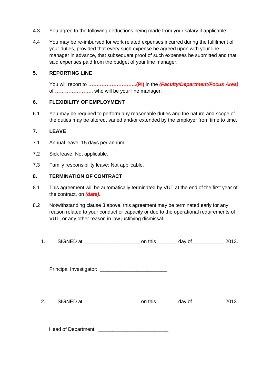- 4.3 You agree to the following deductions being made from your salary if applicable:
- 4.4 You may be re-imbursed for work related expenses incurred during the fulfilment of your duties, provided that every such expense be agreed upon with your line manager in advance, that subsequent proof of such expenses be submitted and that said expenses paid from the budget of your line manager.

#### **5. REPORTING LINE**

You will report to **………………………..(PI)** in the *(Faculty/Department/Focus Area)* of …………………., who will be your line manager.

## **6. FLEXIBILITY OF EMPLOYMENT**

6.1 You may be required to perform any reasonable duties and the nature and scope of the duties may be altered, varied and/or extended by the employer from time to time.

## **7. LEAVE**

- 7.1 Annual leave: 15 days per annum
- 7.2 Sick leave: Not applicable.
- 7.3 Family responsibility leave: Not applicable.

#### **8. TERMINATION OF CONTRACT**

- 8.1 This agreement will be automatically terminated by VUT at the end of the first year of the contract, on *(date).*
- 8.2 Notwithstanding clause 3 above, this agreement may be terminated early for any reason related to your conduct or capacity or due to the operational requirements of VUT, or any other reason in law justifying dismissal.
	- 1. SIGNED at this day of the day of the 2013.

Principal Investigator: \_\_\_\_\_\_\_\_\_\_\_\_\_\_\_\_\_\_\_\_\_\_\_\_

2. SIGNED at the control on this the day of the 2013

Head of Department: